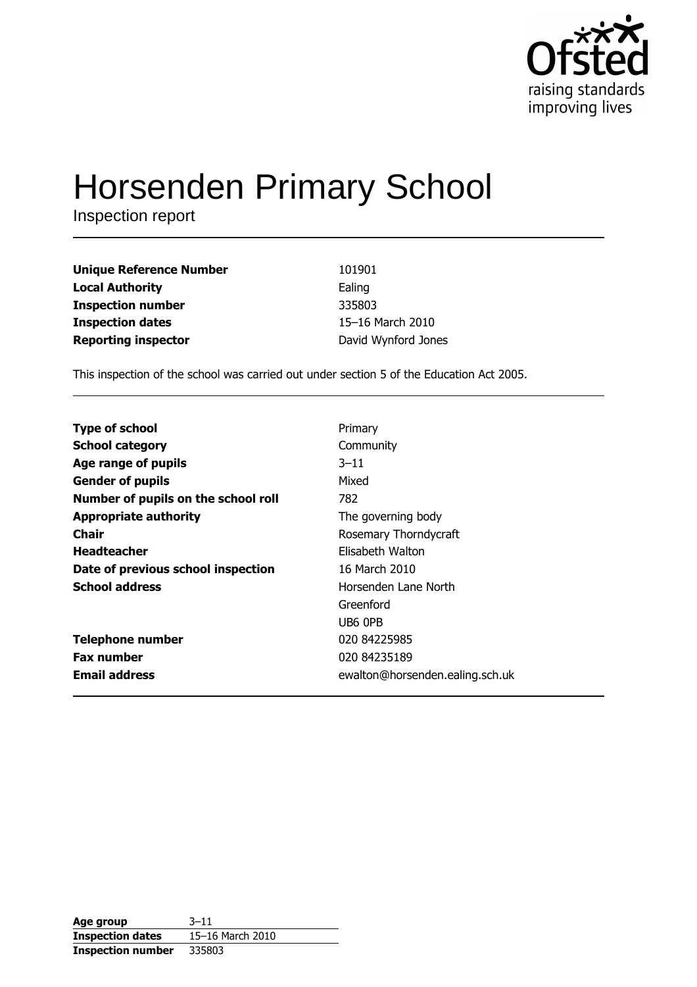

# **Horsenden Primary School**

Inspection report

| <b>Unique Reference Number</b> | 101901              |
|--------------------------------|---------------------|
| <b>Local Authority</b>         | Ealing              |
| <b>Inspection number</b>       | 335803              |
| <b>Inspection dates</b>        | 15-16 March 2010    |
| <b>Reporting inspector</b>     | David Wynford Jones |

This inspection of the school was carried out under section 5 of the Education Act 2005.

| <b>Type of school</b>               | Primary                         |
|-------------------------------------|---------------------------------|
| <b>School category</b>              | Community                       |
| Age range of pupils                 | $3 - 11$                        |
| <b>Gender of pupils</b>             | Mixed                           |
| Number of pupils on the school roll | 782                             |
| <b>Appropriate authority</b>        | The governing body              |
| Chair                               | Rosemary Thorndycraft           |
| <b>Headteacher</b>                  | Elisabeth Walton                |
| Date of previous school inspection  | 16 March 2010                   |
| <b>School address</b>               | Horsenden Lane North            |
|                                     | Greenford                       |
|                                     | UB6 OPB                         |
| <b>Telephone number</b>             | 020 84225985                    |
| <b>Fax number</b>                   | 020 84235189                    |
| <b>Email address</b>                | ewalton@horsenden.ealing.sch.uk |

| Age group                | $3 - 11$         |
|--------------------------|------------------|
| <b>Inspection dates</b>  | 15-16 March 2010 |
| <b>Inspection number</b> | 335803           |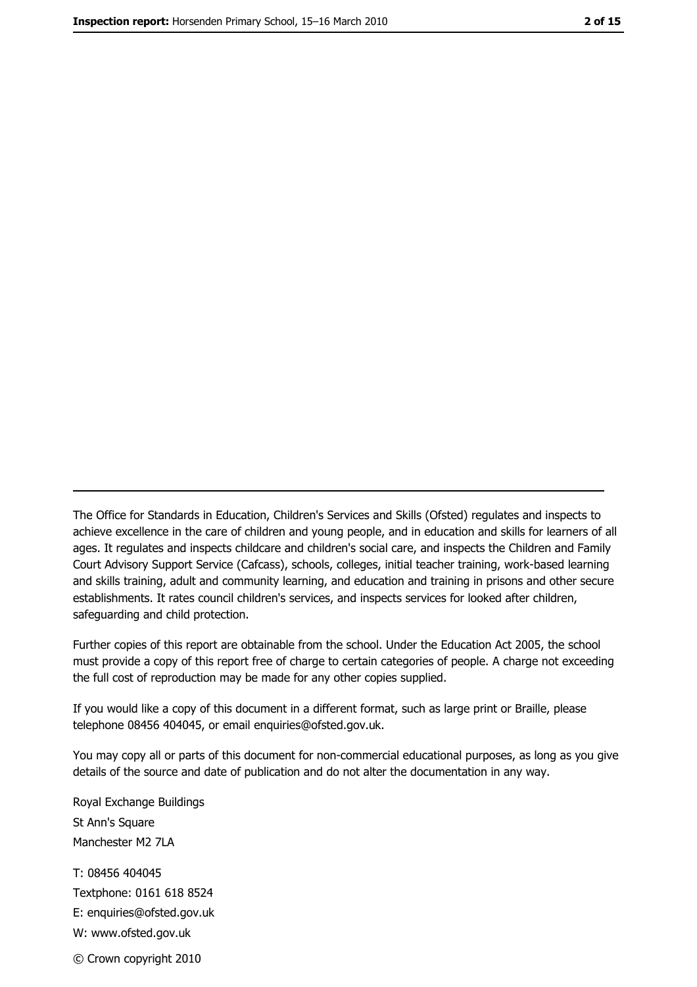The Office for Standards in Education, Children's Services and Skills (Ofsted) regulates and inspects to achieve excellence in the care of children and young people, and in education and skills for learners of all ages. It regulates and inspects childcare and children's social care, and inspects the Children and Family Court Advisory Support Service (Cafcass), schools, colleges, initial teacher training, work-based learning and skills training, adult and community learning, and education and training in prisons and other secure establishments. It rates council children's services, and inspects services for looked after children, safequarding and child protection.

Further copies of this report are obtainable from the school. Under the Education Act 2005, the school must provide a copy of this report free of charge to certain categories of people. A charge not exceeding the full cost of reproduction may be made for any other copies supplied.

If you would like a copy of this document in a different format, such as large print or Braille, please telephone 08456 404045, or email enquiries@ofsted.gov.uk.

You may copy all or parts of this document for non-commercial educational purposes, as long as you give details of the source and date of publication and do not alter the documentation in any way.

Royal Exchange Buildings St Ann's Square Manchester M2 7LA T: 08456 404045 Textphone: 0161 618 8524 E: enquiries@ofsted.gov.uk W: www.ofsted.gov.uk © Crown copyright 2010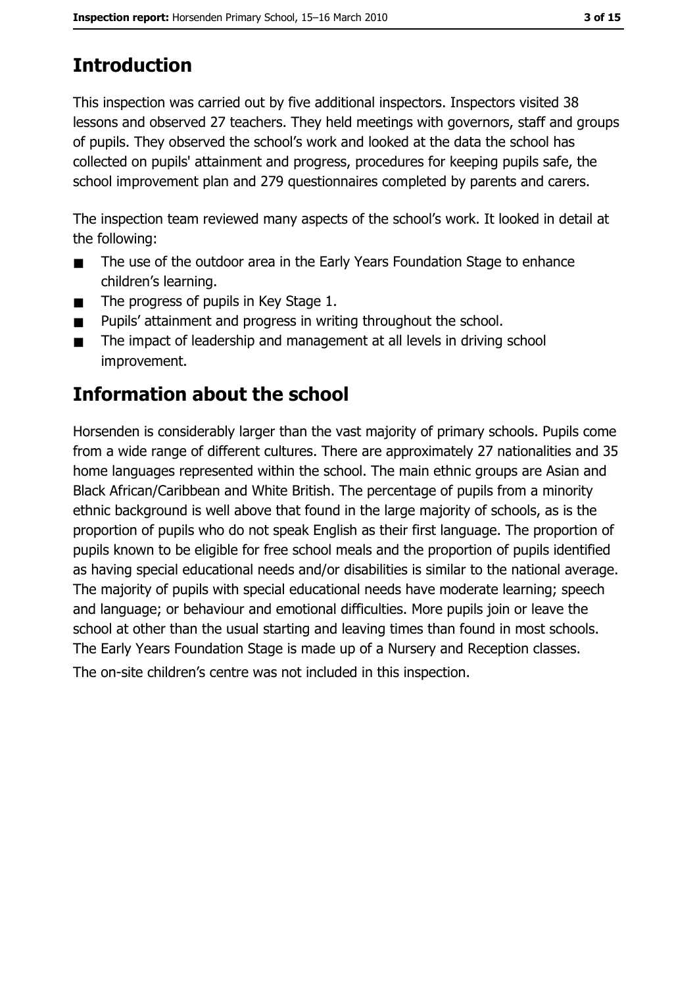# **Introduction**

This inspection was carried out by five additional inspectors. Inspectors visited 38 lessons and observed 27 teachers. They held meetings with governors, staff and groups of pupils. They observed the school's work and looked at the data the school has collected on pupils' attainment and progress, procedures for keeping pupils safe, the school improvement plan and 279 questionnaires completed by parents and carers.

The inspection team reviewed many aspects of the school's work. It looked in detail at the following:

- The use of the outdoor area in the Early Years Foundation Stage to enhance  $\blacksquare$ children's learning.
- The progress of pupils in Key Stage 1.  $\blacksquare$
- Pupils' attainment and progress in writing throughout the school.  $\blacksquare$
- The impact of leadership and management at all levels in driving school  $\blacksquare$ improvement.

# **Information about the school**

Horsenden is considerably larger than the vast majority of primary schools. Pupils come from a wide range of different cultures. There are approximately 27 nationalities and 35 home languages represented within the school. The main ethnic groups are Asian and Black African/Caribbean and White British. The percentage of pupils from a minority ethnic background is well above that found in the large majority of schools, as is the proportion of pupils who do not speak English as their first language. The proportion of pupils known to be eligible for free school meals and the proportion of pupils identified as having special educational needs and/or disabilities is similar to the national average. The majority of pupils with special educational needs have moderate learning; speech and language; or behaviour and emotional difficulties. More pupils join or leave the school at other than the usual starting and leaving times than found in most schools. The Early Years Foundation Stage is made up of a Nursery and Reception classes.

The on-site children's centre was not included in this inspection.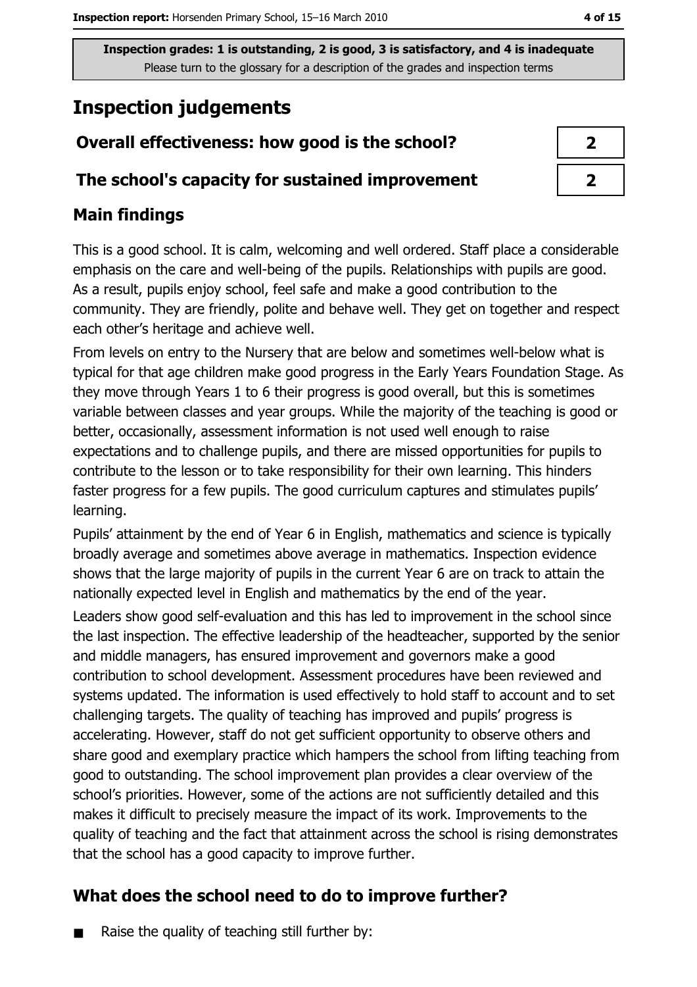# **Inspection judgements**

# Overall effectiveness: how good is the school?

### The school's capacity for sustained improvement

## **Main findings**

This is a good school. It is calm, welcoming and well ordered. Staff place a considerable emphasis on the care and well-being of the pupils. Relationships with pupils are good. As a result, pupils enjoy school, feel safe and make a good contribution to the community. They are friendly, polite and behave well. They get on together and respect each other's heritage and achieve well.

From levels on entry to the Nursery that are below and sometimes well-below what is typical for that age children make good progress in the Early Years Foundation Stage. As they move through Years 1 to 6 their progress is good overall, but this is sometimes variable between classes and year groups. While the majority of the teaching is good or better, occasionally, assessment information is not used well enough to raise expectations and to challenge pupils, and there are missed opportunities for pupils to contribute to the lesson or to take responsibility for their own learning. This hinders faster progress for a few pupils. The good curriculum captures and stimulates pupils' learning.

Pupils' attainment by the end of Year 6 in English, mathematics and science is typically broadly average and sometimes above average in mathematics. Inspection evidence shows that the large majority of pupils in the current Year 6 are on track to attain the nationally expected level in English and mathematics by the end of the year. Leaders show good self-evaluation and this has led to improvement in the school since the last inspection. The effective leadership of the headteacher, supported by the senior and middle managers, has ensured improvement and governors make a good contribution to school development. Assessment procedures have been reviewed and systems updated. The information is used effectively to hold staff to account and to set challenging targets. The quality of teaching has improved and pupils' progress is accelerating. However, staff do not get sufficient opportunity to observe others and share good and exemplary practice which hampers the school from lifting teaching from good to outstanding. The school improvement plan provides a clear overview of the school's priorities. However, some of the actions are not sufficiently detailed and this makes it difficult to precisely measure the impact of its work. Improvements to the quality of teaching and the fact that attainment across the school is rising demonstrates that the school has a good capacity to improve further.

# What does the school need to do to improve further?

Raise the quality of teaching still further by:  $\blacksquare$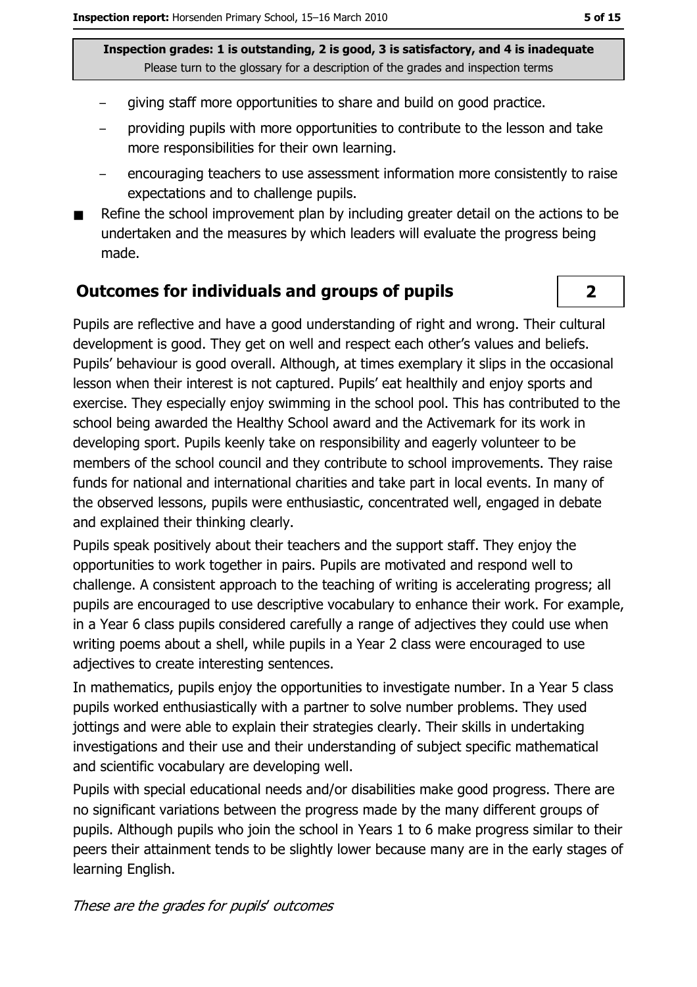- giving staff more opportunities to share and build on good practice.
- providing pupils with more opportunities to contribute to the lesson and take more responsibilities for their own learning.
- encouraging teachers to use assessment information more consistently to raise expectations and to challenge pupils.
- Refine the school improvement plan by including greater detail on the actions to be undertaken and the measures by which leaders will evaluate the progress being made.

#### **Outcomes for individuals and groups of pupils**

Pupils are reflective and have a good understanding of right and wrong. Their cultural development is good. They get on well and respect each other's values and beliefs. Pupils' behaviour is good overall. Although, at times exemplary it slips in the occasional lesson when their interest is not captured. Pupils' eat healthily and enjoy sports and exercise. They especially enjoy swimming in the school pool. This has contributed to the school being awarded the Healthy School award and the Activemark for its work in developing sport. Pupils keenly take on responsibility and eagerly volunteer to be members of the school council and they contribute to school improvements. They raise funds for national and international charities and take part in local events. In many of the observed lessons, pupils were enthusiastic, concentrated well, engaged in debate and explained their thinking clearly.

Pupils speak positively about their teachers and the support staff. They enjoy the opportunities to work together in pairs. Pupils are motivated and respond well to challenge. A consistent approach to the teaching of writing is accelerating progress; all pupils are encouraged to use descriptive vocabulary to enhance their work. For example, in a Year 6 class pupils considered carefully a range of adjectives they could use when writing poems about a shell, while pupils in a Year 2 class were encouraged to use adjectives to create interesting sentences.

In mathematics, pupils enjoy the opportunities to investigate number. In a Year 5 class pupils worked enthusiastically with a partner to solve number problems. They used jottings and were able to explain their strategies clearly. Their skills in undertaking investigations and their use and their understanding of subject specific mathematical and scientific vocabulary are developing well.

Pupils with special educational needs and/or disabilities make good progress. There are no significant variations between the progress made by the many different groups of pupils. Although pupils who join the school in Years 1 to 6 make progress similar to their peers their attainment tends to be slightly lower because many are in the early stages of learning English.

#### These are the grades for pupils' outcomes

 $\overline{2}$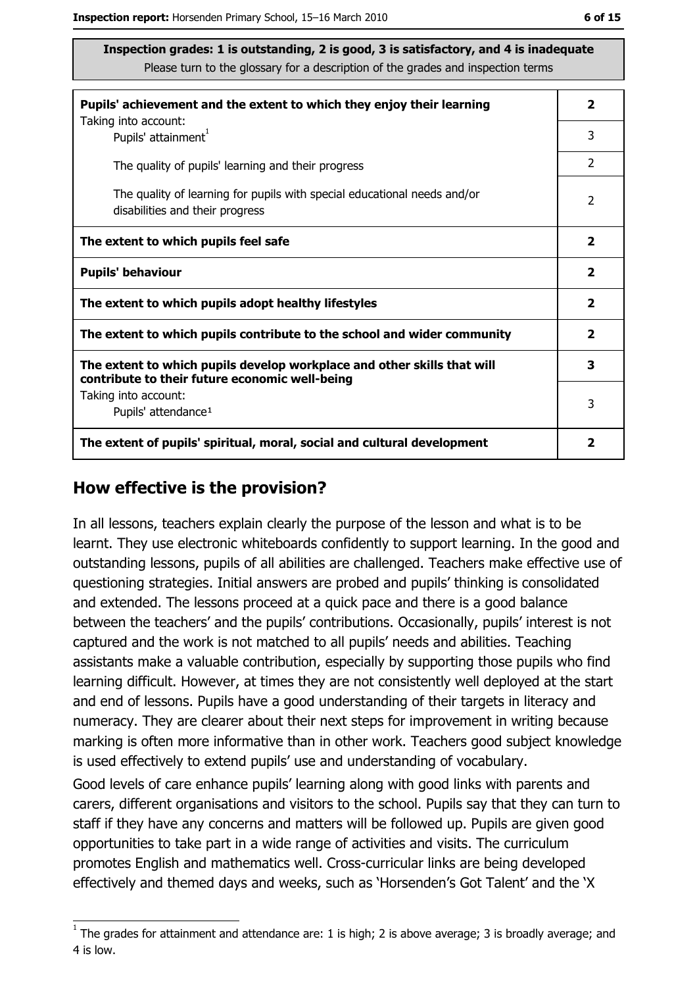| Pupils' achievement and the extent to which they enjoy their learning                                                     |                         |  |
|---------------------------------------------------------------------------------------------------------------------------|-------------------------|--|
| Taking into account:<br>Pupils' attainment <sup>1</sup>                                                                   | 3                       |  |
| The quality of pupils' learning and their progress                                                                        | $\overline{2}$          |  |
| The quality of learning for pupils with special educational needs and/or<br>disabilities and their progress               |                         |  |
| The extent to which pupils feel safe                                                                                      | $\overline{\mathbf{2}}$ |  |
| <b>Pupils' behaviour</b>                                                                                                  | $\overline{\mathbf{2}}$ |  |
| The extent to which pupils adopt healthy lifestyles                                                                       |                         |  |
| The extent to which pupils contribute to the school and wider community                                                   |                         |  |
| The extent to which pupils develop workplace and other skills that will<br>contribute to their future economic well-being |                         |  |
| Taking into account:<br>Pupils' attendance <sup>1</sup>                                                                   |                         |  |
| The extent of pupils' spiritual, moral, social and cultural development                                                   |                         |  |

#### How effective is the provision?

In all lessons, teachers explain clearly the purpose of the lesson and what is to be learnt. They use electronic whiteboards confidently to support learning. In the good and outstanding lessons, pupils of all abilities are challenged. Teachers make effective use of questioning strategies. Initial answers are probed and pupils' thinking is consolidated and extended. The lessons proceed at a quick pace and there is a good balance between the teachers' and the pupils' contributions. Occasionally, pupils' interest is not captured and the work is not matched to all pupils' needs and abilities. Teaching assistants make a valuable contribution, especially by supporting those pupils who find learning difficult. However, at times they are not consistently well deployed at the start and end of lessons. Pupils have a good understanding of their targets in literacy and numeracy. They are clearer about their next steps for improvement in writing because marking is often more informative than in other work. Teachers good subject knowledge is used effectively to extend pupils' use and understanding of vocabulary.

Good levels of care enhance pupils' learning along with good links with parents and carers, different organisations and visitors to the school. Pupils say that they can turn to staff if they have any concerns and matters will be followed up. Pupils are given good opportunities to take part in a wide range of activities and visits. The curriculum promotes English and mathematics well. Cross-curricular links are being developed effectively and themed days and weeks, such as 'Horsenden's Got Talent' and the 'X

 $1$  The grades for attainment and attendance are: 1 is high; 2 is above average; 3 is broadly average; and 4 is low.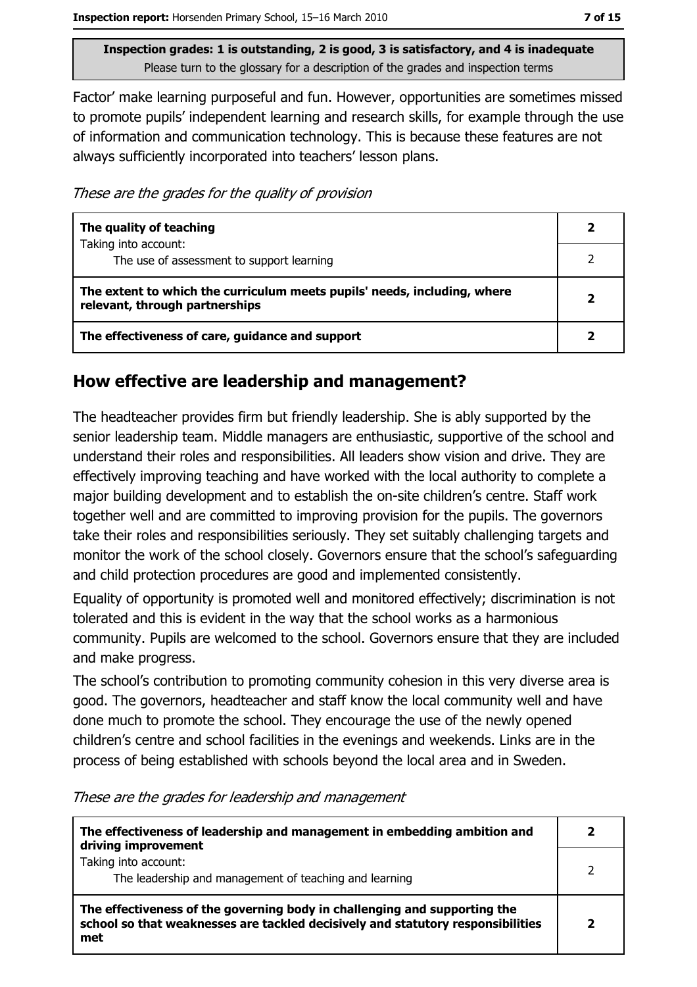Factor' make learning purposeful and fun. However, opportunities are sometimes missed to promote pupils' independent learning and research skills, for example through the use of information and communication technology. This is because these features are not always sufficiently incorporated into teachers' lesson plans.

These are the grades for the quality of provision

| The quality of teaching                                                                                    |              |
|------------------------------------------------------------------------------------------------------------|--------------|
| Taking into account:<br>The use of assessment to support learning                                          |              |
| The extent to which the curriculum meets pupils' needs, including, where<br>relevant, through partnerships | $\mathbf{2}$ |
| The effectiveness of care, guidance and support                                                            |              |

## How effective are leadership and management?

The headteacher provides firm but friendly leadership. She is ably supported by the senior leadership team. Middle managers are enthusiastic, supportive of the school and understand their roles and responsibilities. All leaders show vision and drive. They are effectively improving teaching and have worked with the local authority to complete a major building development and to establish the on-site children's centre. Staff work together well and are committed to improving provision for the pupils. The governors take their roles and responsibilities seriously. They set suitably challenging targets and monitor the work of the school closely. Governors ensure that the school's safeguarding and child protection procedures are good and implemented consistently.

Equality of opportunity is promoted well and monitored effectively; discrimination is not tolerated and this is evident in the way that the school works as a harmonious community. Pupils are welcomed to the school. Governors ensure that they are included and make progress.

The school's contribution to promoting community cohesion in this very diverse area is good. The governors, headteacher and staff know the local community well and have done much to promote the school. They encourage the use of the newly opened children's centre and school facilities in the evenings and weekends. Links are in the process of being established with schools beyond the local area and in Sweden.

These are the grades for leadership and management

| The effectiveness of leadership and management in embedding ambition and<br>driving improvement                                                                     |  |
|---------------------------------------------------------------------------------------------------------------------------------------------------------------------|--|
| Taking into account:<br>The leadership and management of teaching and learning                                                                                      |  |
| The effectiveness of the governing body in challenging and supporting the<br>school so that weaknesses are tackled decisively and statutory responsibilities<br>met |  |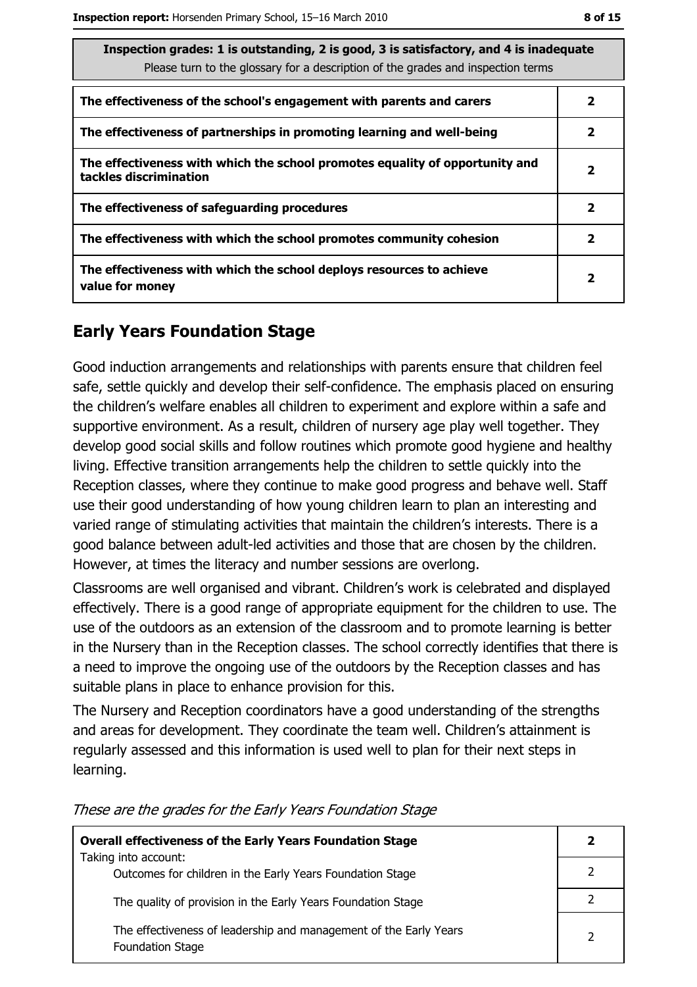| Inspection grades: 1 is outstanding, 2 is good, 3 is satisfactory, and 4 is inadequate<br>Please turn to the glossary for a description of the grades and inspection terms |                         |  |
|----------------------------------------------------------------------------------------------------------------------------------------------------------------------------|-------------------------|--|
| The effectiveness of the school's engagement with parents and carers                                                                                                       | 2                       |  |
| The effectiveness of partnerships in promoting learning and well-being                                                                                                     | 2                       |  |
| The effectiveness with which the school promotes equality of opportunity and<br>tackles discrimination                                                                     | $\overline{\mathbf{2}}$ |  |
| The effectiveness of safeguarding procedures                                                                                                                               | $\mathbf{2}$            |  |
| The effectiveness with which the school promotes community cohesion                                                                                                        | 2                       |  |
| The effectiveness with which the school deploys resources to achieve<br>value for money                                                                                    | $\overline{\mathbf{2}}$ |  |

## **Early Years Foundation Stage**

Good induction arrangements and relationships with parents ensure that children feel safe, settle quickly and develop their self-confidence. The emphasis placed on ensuring the children's welfare enables all children to experiment and explore within a safe and supportive environment. As a result, children of nursery age play well together. They develop good social skills and follow routines which promote good hygiene and healthy living. Effective transition arrangements help the children to settle quickly into the Reception classes, where they continue to make good progress and behave well. Staff use their good understanding of how young children learn to plan an interesting and varied range of stimulating activities that maintain the children's interests. There is a good balance between adult-led activities and those that are chosen by the children. However, at times the literacy and number sessions are overlong.

Classrooms are well organised and vibrant. Children's work is celebrated and displayed effectively. There is a good range of appropriate equipment for the children to use. The use of the outdoors as an extension of the classroom and to promote learning is better in the Nursery than in the Reception classes. The school correctly identifies that there is a need to improve the ongoing use of the outdoors by the Reception classes and has suitable plans in place to enhance provision for this.

The Nursery and Reception coordinators have a good understanding of the strengths and areas for development. They coordinate the team well. Children's attainment is regularly assessed and this information is used well to plan for their next steps in learning.

| <b>Overall effectiveness of the Early Years Foundation Stage</b>                             |   |
|----------------------------------------------------------------------------------------------|---|
| Taking into account:<br>Outcomes for children in the Early Years Foundation Stage            |   |
| The quality of provision in the Early Years Foundation Stage                                 |   |
| The effectiveness of leadership and management of the Early Years<br><b>Foundation Stage</b> | 2 |

These are the grades for the Early Years Foundation Stage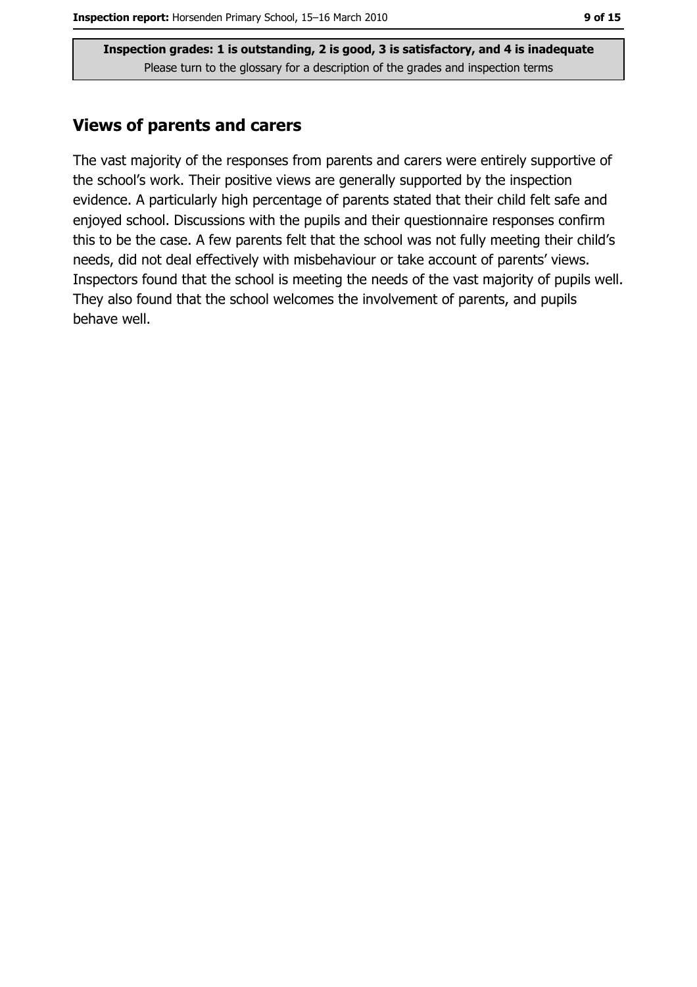#### **Views of parents and carers**

The vast majority of the responses from parents and carers were entirely supportive of the school's work. Their positive views are generally supported by the inspection evidence. A particularly high percentage of parents stated that their child felt safe and enjoyed school. Discussions with the pupils and their questionnaire responses confirm this to be the case. A few parents felt that the school was not fully meeting their child's needs, did not deal effectively with misbehaviour or take account of parents' views. Inspectors found that the school is meeting the needs of the vast majority of pupils well. They also found that the school welcomes the involvement of parents, and pupils behave well.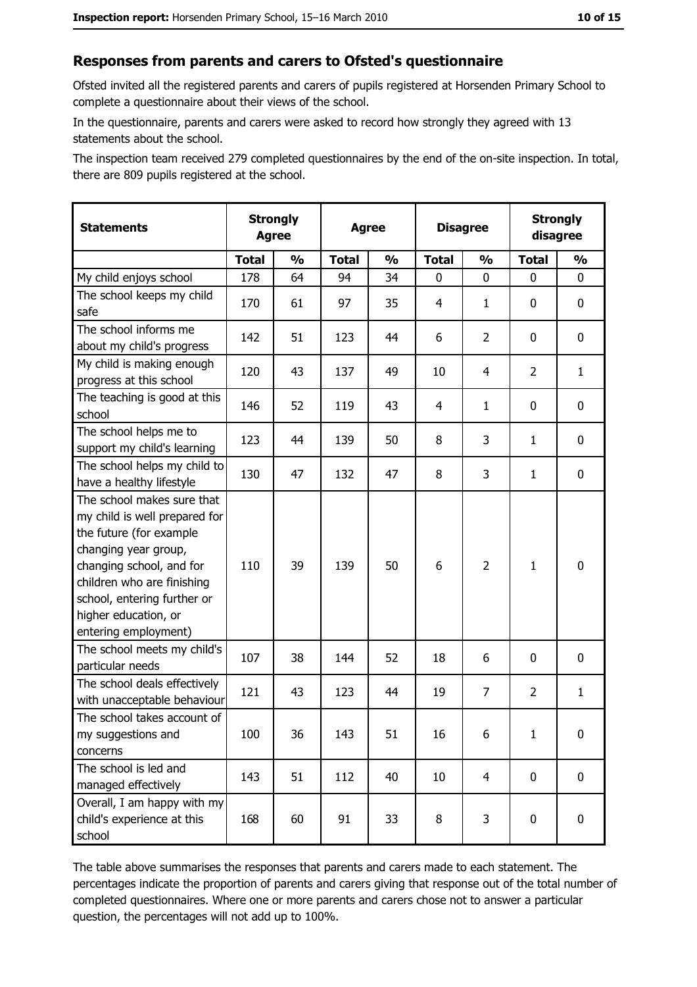#### Responses from parents and carers to Ofsted's questionnaire

Ofsted invited all the registered parents and carers of pupils registered at Horsenden Primary School to complete a questionnaire about their views of the school.

In the questionnaire, parents and carers were asked to record how strongly they agreed with 13 statements about the school.

The inspection team received 279 completed questionnaires by the end of the on-site inspection. In total, there are 809 pupils registered at the school.

| <b>Statements</b>                                                                                                                                                                                                                                       |              | <b>Strongly</b><br><b>Agree</b><br><b>Agree</b> |              | <b>Disagree</b> |                |                |                | <b>Strongly</b><br>disagree |  |
|---------------------------------------------------------------------------------------------------------------------------------------------------------------------------------------------------------------------------------------------------------|--------------|-------------------------------------------------|--------------|-----------------|----------------|----------------|----------------|-----------------------------|--|
|                                                                                                                                                                                                                                                         | <b>Total</b> | $\frac{1}{2}$                                   | <b>Total</b> | $\frac{0}{0}$   | <b>Total</b>   | $\frac{1}{2}$  | <b>Total</b>   | $\frac{1}{2}$               |  |
| My child enjoys school                                                                                                                                                                                                                                  | 178          | 64                                              | 94           | 34              | 0              | 0              | 0              | 0                           |  |
| The school keeps my child<br>safe                                                                                                                                                                                                                       | 170          | 61                                              | 97           | 35              | $\overline{4}$ | 1              | 0              | $\mathbf 0$                 |  |
| The school informs me<br>about my child's progress                                                                                                                                                                                                      | 142          | 51                                              | 123          | 44              | 6              | $\overline{2}$ | 0              | 0                           |  |
| My child is making enough<br>progress at this school                                                                                                                                                                                                    | 120          | 43                                              | 137          | 49              | 10             | 4              | $\overline{2}$ | $\mathbf{1}$                |  |
| The teaching is good at this<br>school                                                                                                                                                                                                                  | 146          | 52                                              | 119          | 43              | 4              | $\mathbf{1}$   | 0              | 0                           |  |
| The school helps me to<br>support my child's learning                                                                                                                                                                                                   | 123          | 44                                              | 139          | 50              | 8              | 3              | 1              | $\mathbf 0$                 |  |
| The school helps my child to<br>have a healthy lifestyle                                                                                                                                                                                                | 130          | 47                                              | 132          | 47              | 8              | 3              | 1              | $\mathbf 0$                 |  |
| The school makes sure that<br>my child is well prepared for<br>the future (for example<br>changing year group,<br>changing school, and for<br>children who are finishing<br>school, entering further or<br>higher education, or<br>entering employment) | 110          | 39                                              | 139          | 50              | 6              | $\overline{2}$ | $\mathbf{1}$   | $\mathbf 0$                 |  |
| The school meets my child's<br>particular needs                                                                                                                                                                                                         | 107          | 38                                              | 144          | 52              | 18             | 6              | 0              | 0                           |  |
| The school deals effectively<br>with unacceptable behaviour                                                                                                                                                                                             | 121          | 43                                              | 123          | 44              | 19             | $\overline{7}$ | $\overline{2}$ | $\mathbf{1}$                |  |
| The school takes account of<br>my suggestions and<br>concerns                                                                                                                                                                                           | 100          | 36                                              | 143          | 51              | 16             | 6              | $\mathbf{1}$   | $\bf{0}$                    |  |
| The school is led and<br>managed effectively                                                                                                                                                                                                            | 143          | 51                                              | 112          | 40              | 10             | 4              | $\mathbf 0$    | $\mathbf 0$                 |  |
| Overall, I am happy with my<br>child's experience at this<br>school                                                                                                                                                                                     | 168          | 60                                              | 91           | 33              | 8              | 3              | 0              | $\mathbf 0$                 |  |

The table above summarises the responses that parents and carers made to each statement. The percentages indicate the proportion of parents and carers giving that response out of the total number of completed questionnaires. Where one or more parents and carers chose not to answer a particular question, the percentages will not add up to 100%.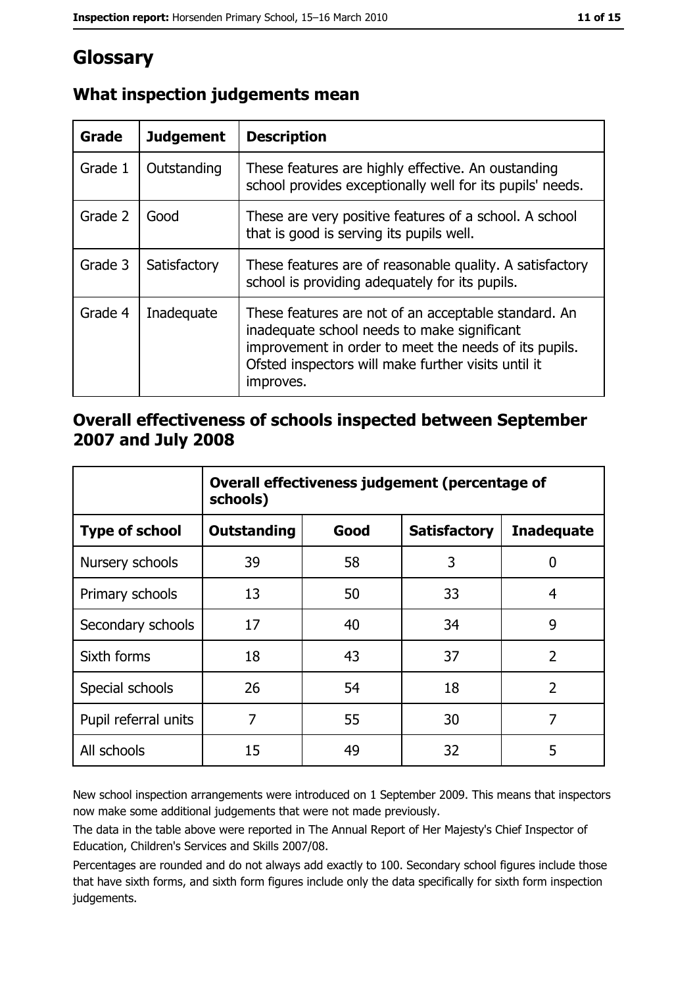# Glossary

| Grade   | <b>Judgement</b> | <b>Description</b>                                                                                                                                                                                                               |
|---------|------------------|----------------------------------------------------------------------------------------------------------------------------------------------------------------------------------------------------------------------------------|
| Grade 1 | Outstanding      | These features are highly effective. An oustanding<br>school provides exceptionally well for its pupils' needs.                                                                                                                  |
| Grade 2 | Good             | These are very positive features of a school. A school<br>that is good is serving its pupils well.                                                                                                                               |
| Grade 3 | Satisfactory     | These features are of reasonable quality. A satisfactory<br>school is providing adequately for its pupils.                                                                                                                       |
| Grade 4 | Inadequate       | These features are not of an acceptable standard. An<br>inadequate school needs to make significant<br>improvement in order to meet the needs of its pupils.<br>Ofsted inspectors will make further visits until it<br>improves. |

## What inspection judgements mean

## Overall effectiveness of schools inspected between September 2007 and July 2008

|                       | Overall effectiveness judgement (percentage of<br>schools) |      |                     |                   |  |
|-----------------------|------------------------------------------------------------|------|---------------------|-------------------|--|
| <b>Type of school</b> | Outstanding                                                | Good | <b>Satisfactory</b> | <b>Inadequate</b> |  |
| Nursery schools       | 39                                                         | 58   | 3                   | 0                 |  |
| Primary schools       | 13                                                         | 50   | 33                  | 4                 |  |
| Secondary schools     | 17                                                         | 40   | 34                  | 9                 |  |
| Sixth forms           | 18                                                         | 43   | 37                  | $\overline{2}$    |  |
| Special schools       | 26                                                         | 54   | 18                  | $\overline{2}$    |  |
| Pupil referral units  | 7                                                          | 55   | 30                  | 7                 |  |
| All schools           | 15                                                         | 49   | 32                  | 5                 |  |

New school inspection arrangements were introduced on 1 September 2009. This means that inspectors now make some additional judgements that were not made previously.

The data in the table above were reported in The Annual Report of Her Majesty's Chief Inspector of Education, Children's Services and Skills 2007/08.

Percentages are rounded and do not always add exactly to 100. Secondary school figures include those that have sixth forms, and sixth form figures include only the data specifically for sixth form inspection judgements.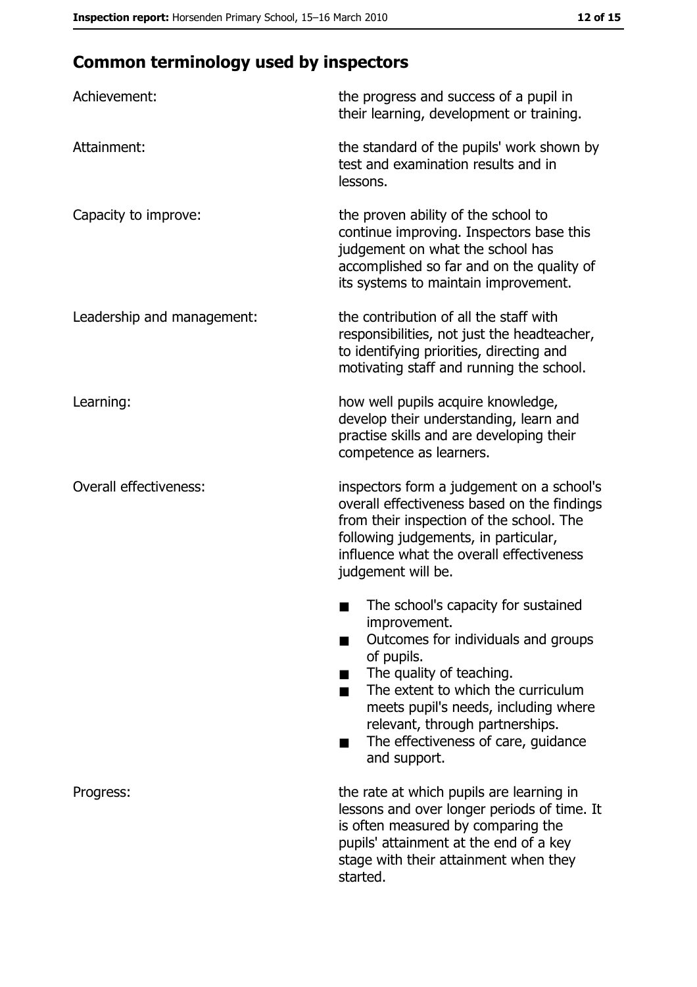# **Common terminology used by inspectors**

| Achievement:                  | the progress and success of a pupil in<br>their learning, development or training.                                                                                                                                                                                                                           |
|-------------------------------|--------------------------------------------------------------------------------------------------------------------------------------------------------------------------------------------------------------------------------------------------------------------------------------------------------------|
| Attainment:                   | the standard of the pupils' work shown by<br>test and examination results and in<br>lessons.                                                                                                                                                                                                                 |
| Capacity to improve:          | the proven ability of the school to<br>continue improving. Inspectors base this<br>judgement on what the school has<br>accomplished so far and on the quality of<br>its systems to maintain improvement.                                                                                                     |
| Leadership and management:    | the contribution of all the staff with<br>responsibilities, not just the headteacher,<br>to identifying priorities, directing and<br>motivating staff and running the school.                                                                                                                                |
| Learning:                     | how well pupils acquire knowledge,<br>develop their understanding, learn and<br>practise skills and are developing their<br>competence as learners.                                                                                                                                                          |
| <b>Overall effectiveness:</b> | inspectors form a judgement on a school's<br>overall effectiveness based on the findings<br>from their inspection of the school. The<br>following judgements, in particular,<br>influence what the overall effectiveness<br>judgement will be.                                                               |
|                               | The school's capacity for sustained<br>improvement.<br>Outcomes for individuals and groups<br>of pupils.<br>The quality of teaching.<br>The extent to which the curriculum<br>meets pupil's needs, including where<br>relevant, through partnerships.<br>The effectiveness of care, guidance<br>and support. |
| Progress:                     | the rate at which pupils are learning in<br>lessons and over longer periods of time. It<br>is often measured by comparing the<br>pupils' attainment at the end of a key<br>stage with their attainment when they<br>started.                                                                                 |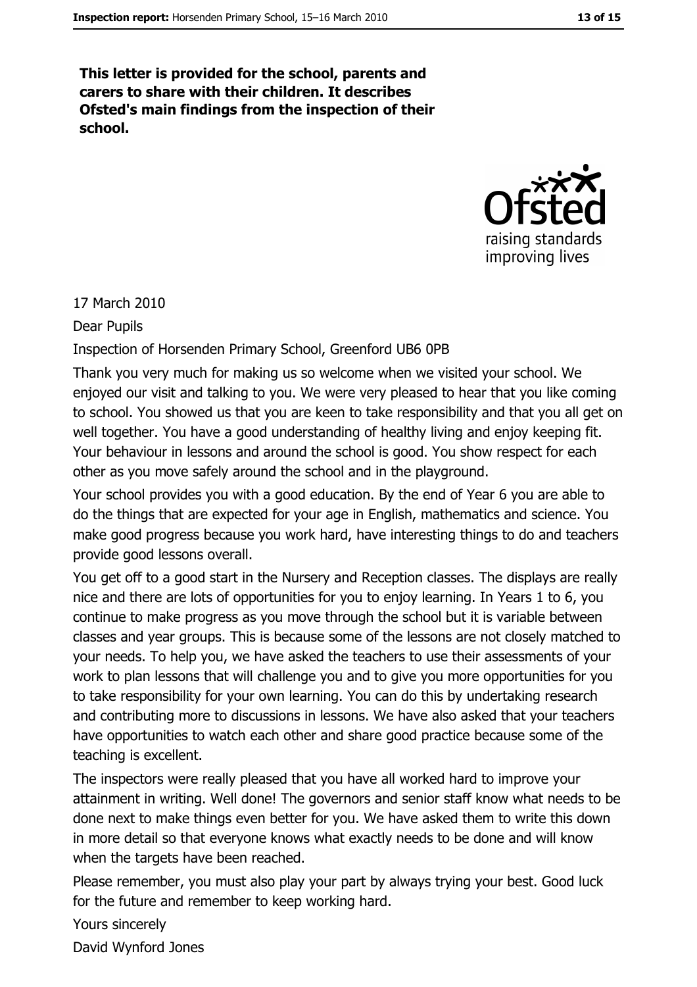This letter is provided for the school, parents and carers to share with their children. It describes Ofsted's main findings from the inspection of their school.



#### 17 March 2010

**Dear Pupils** 

Inspection of Horsenden Primary School, Greenford UB6 0PB

Thank you very much for making us so welcome when we visited your school. We enjoyed our visit and talking to you. We were very pleased to hear that you like coming to school. You showed us that you are keen to take responsibility and that you all get on well together. You have a good understanding of healthy living and enjoy keeping fit. Your behaviour in lessons and around the school is good. You show respect for each other as you move safely around the school and in the playground.

Your school provides you with a good education. By the end of Year 6 you are able to do the things that are expected for your age in English, mathematics and science. You make good progress because you work hard, have interesting things to do and teachers provide good lessons overall.

You get off to a good start in the Nursery and Reception classes. The displays are really nice and there are lots of opportunities for you to eniov learning. In Years 1 to 6, you continue to make progress as you move through the school but it is variable between classes and year groups. This is because some of the lessons are not closely matched to your needs. To help you, we have asked the teachers to use their assessments of your work to plan lessons that will challenge you and to give you more opportunities for you to take responsibility for your own learning. You can do this by undertaking research and contributing more to discussions in lessons. We have also asked that your teachers have opportunities to watch each other and share good practice because some of the teaching is excellent.

The inspectors were really pleased that you have all worked hard to improve your attainment in writing. Well done! The governors and senior staff know what needs to be done next to make things even better for you. We have asked them to write this down in more detail so that everyone knows what exactly needs to be done and will know when the targets have been reached.

Please remember, you must also play your part by always trying your best. Good luck for the future and remember to keep working hard.

Yours sincerely

David Wynford Jones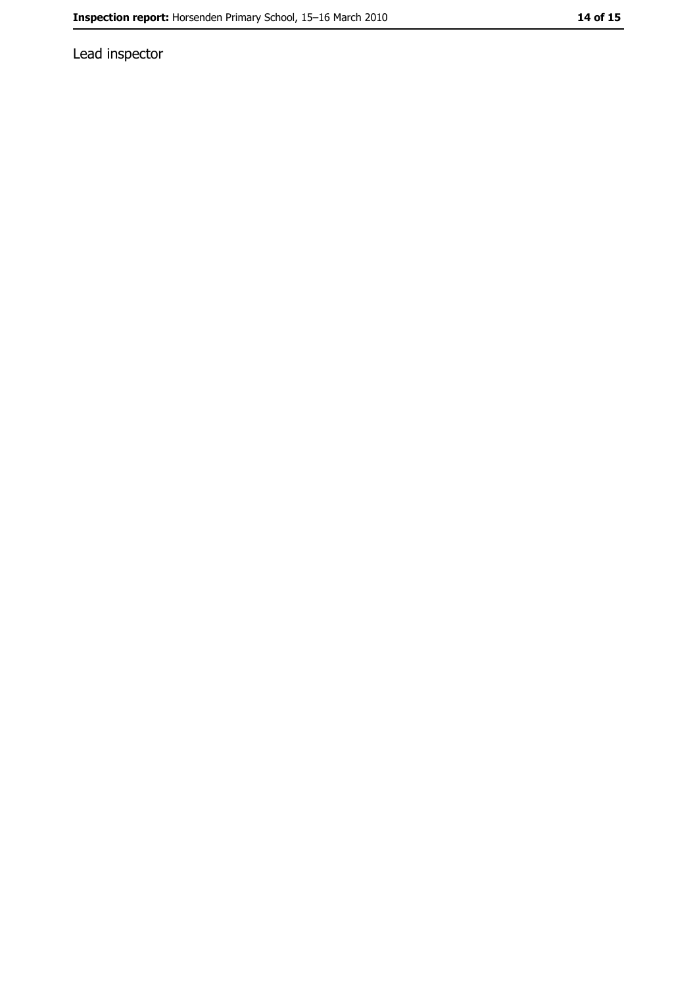Lead inspector